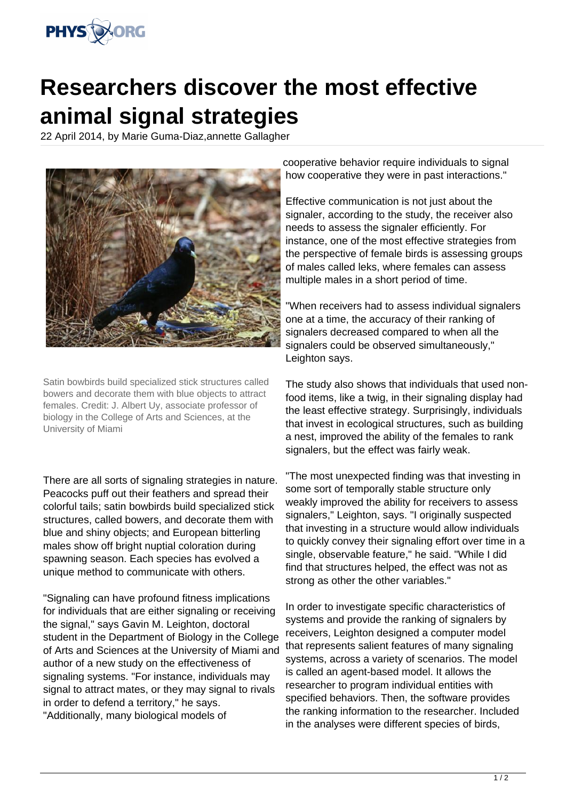

## **Researchers discover the most effective animal signal strategies**

22 April 2014, by Marie Guma-Diaz,annette Gallagher



Satin bowbirds build specialized stick structures called bowers and decorate them with blue objects to attract females. Credit: J. Albert Uy, associate professor of biology in the College of Arts and Sciences, at the University of Miami

There are all sorts of signaling strategies in nature. Peacocks puff out their feathers and spread their colorful tails; satin bowbirds build specialized stick structures, called bowers, and decorate them with blue and shiny objects; and European bitterling males show off bright nuptial coloration during spawning season. Each species has evolved a unique method to communicate with others.

"Signaling can have profound fitness implications for individuals that are either signaling or receiving the signal," says Gavin M. Leighton, doctoral student in the Department of Biology in the College of Arts and Sciences at the University of Miami and author of a new study on the effectiveness of signaling systems. "For instance, individuals may signal to attract mates, or they may signal to rivals in order to defend a territory," he says. "Additionally, many biological models of

cooperative behavior require individuals to signal how cooperative they were in past interactions."

Effective communication is not just about the signaler, according to the study, the receiver also needs to assess the signaler efficiently. For instance, one of the most effective strategies from the perspective of female birds is assessing groups of males called leks, where females can assess multiple males in a short period of time.

"When receivers had to assess individual signalers one at a time, the accuracy of their ranking of signalers decreased compared to when all the signalers could be observed simultaneously," Leighton says.

The study also shows that individuals that used nonfood items, like a twig, in their signaling display had the least effective strategy. Surprisingly, individuals that invest in ecological structures, such as building a nest, improved the ability of the females to rank signalers, but the effect was fairly weak.

"The most unexpected finding was that investing in some sort of temporally stable structure only weakly improved the ability for receivers to assess signalers." Leighton, says. "I originally suspected that investing in a structure would allow individuals to quickly convey their signaling effort over time in a single, observable feature," he said. "While I did find that structures helped, the effect was not as strong as other the other variables."

In order to investigate specific characteristics of systems and provide the ranking of signalers by receivers, Leighton designed a computer model that represents salient features of many signaling systems, across a variety of scenarios. The model is called an agent-based model. It allows the researcher to program individual entities with specified behaviors. Then, the software provides the ranking information to the researcher. Included in the analyses were different species of birds,